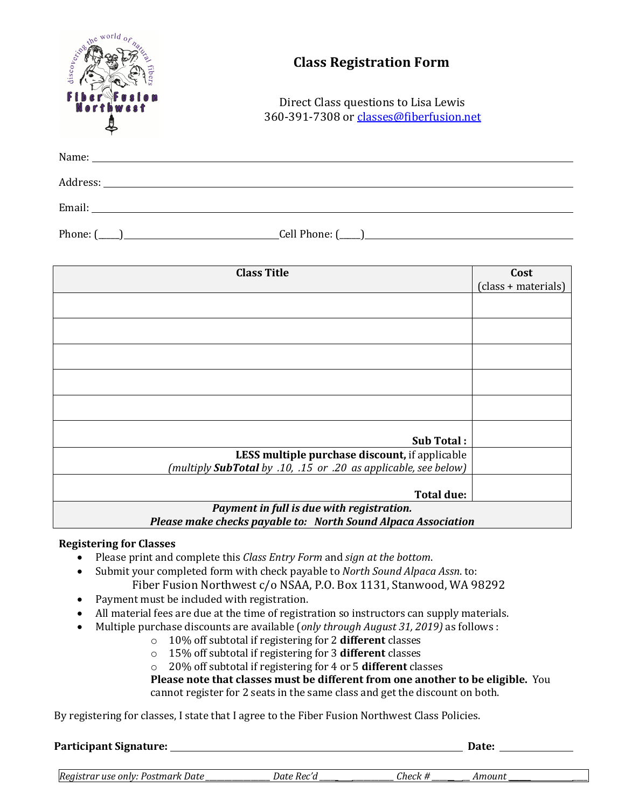| Name: Name and the state of the state of the state of the state of the state of the state of the state of the state of the state of the state of the state of the state of the state of the state of the state of the state of<br><b>Class Title</b><br>Cost<br>(class + materials)<br>Sub Total:<br>LESS multiple purchase discount, if applicable<br>(multiply SubTotal by .10, .15 or .20 as applicable, see below) | world<br>the<br>discovering | <b>Class Registration Form</b><br>Direct Class questions to Lisa Lewis<br>360-391-7308 or classes@fiberfusion.net |  |  |  |
|------------------------------------------------------------------------------------------------------------------------------------------------------------------------------------------------------------------------------------------------------------------------------------------------------------------------------------------------------------------------------------------------------------------------|-----------------------------|-------------------------------------------------------------------------------------------------------------------|--|--|--|
|                                                                                                                                                                                                                                                                                                                                                                                                                        |                             |                                                                                                                   |  |  |  |
|                                                                                                                                                                                                                                                                                                                                                                                                                        |                             |                                                                                                                   |  |  |  |
|                                                                                                                                                                                                                                                                                                                                                                                                                        |                             |                                                                                                                   |  |  |  |
|                                                                                                                                                                                                                                                                                                                                                                                                                        |                             |                                                                                                                   |  |  |  |
|                                                                                                                                                                                                                                                                                                                                                                                                                        |                             |                                                                                                                   |  |  |  |
|                                                                                                                                                                                                                                                                                                                                                                                                                        |                             |                                                                                                                   |  |  |  |
|                                                                                                                                                                                                                                                                                                                                                                                                                        |                             |                                                                                                                   |  |  |  |
|                                                                                                                                                                                                                                                                                                                                                                                                                        |                             |                                                                                                                   |  |  |  |
|                                                                                                                                                                                                                                                                                                                                                                                                                        |                             |                                                                                                                   |  |  |  |
|                                                                                                                                                                                                                                                                                                                                                                                                                        |                             |                                                                                                                   |  |  |  |
|                                                                                                                                                                                                                                                                                                                                                                                                                        |                             |                                                                                                                   |  |  |  |
|                                                                                                                                                                                                                                                                                                                                                                                                                        |                             |                                                                                                                   |  |  |  |
|                                                                                                                                                                                                                                                                                                                                                                                                                        |                             |                                                                                                                   |  |  |  |
|                                                                                                                                                                                                                                                                                                                                                                                                                        |                             |                                                                                                                   |  |  |  |
| <b>Total due:</b>                                                                                                                                                                                                                                                                                                                                                                                                      |                             |                                                                                                                   |  |  |  |
| Payment in full is due with registration.<br>Please make checks payable to: North Sound Alpaca Association                                                                                                                                                                                                                                                                                                             |                             |                                                                                                                   |  |  |  |

# **Registering for Classes**

- Please print and complete this *Class Entry Form* and *sign at the bottom*.
- Submit your completed form with check payable to *North Sound Alpaca Assn*. to: Fiber Fusion Northwest c/o NSAA, P.O. Box 1131, Stanwood, WA 98292
- Payment must be included with registration.
- All material fees are due at the time of registration so instructors can supply materials.
- Multiple purchase discounts are available (*only through August 31, 2019*) as follows :
	- o 10% off subtotal if registering for 2 **different** classes
	- o 15% off subtotal if registering for 3 **different** classes
	- o 20% off subtotal if registering for 4 or 5 different classes

**Please note that classes must be different from one another to be eligible.** You cannot register for 2 seats in the same class and get the discount on both.

By registering for classes, I state that I agree to the Fiber Fusion Northwest Class Policies.

| Participant Signature:             |            |         | <b>Date:</b> |  |
|------------------------------------|------------|---------|--------------|--|
| Registrar use only: Postmark Date_ | Date Rec'd | Check # | Amount       |  |